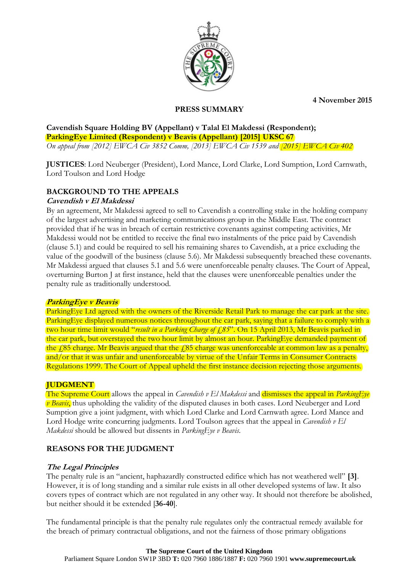**4 November 2015**



### **PRESS SUMMARY**

**Cavendish Square Holding BV (Appellant) v Talal El Makdessi (Respondent); ParkingEye Limited (Respondent) v Beavis (Appellant) [2015] UKSC 67** *On appeal from [2012] EWCA Civ 3852 Comm, [2013] EWCA Civ 1539 and [2015] EWCA Civ 402*

**JUSTICES**: Lord Neuberger (President), Lord Mance, Lord Clarke, Lord Sumption, Lord Carnwath, Lord Toulson and Lord Hodge

# **BACKGROUND TO THE APPEALS**

### **Cavendish v El Makdessi**

By an agreement, Mr Makdessi agreed to sell to Cavendish a controlling stake in the holding company of the largest advertising and marketing communications group in the Middle East. The contract provided that if he was in breach of certain restrictive covenants against competing activities, Mr Makdessi would not be entitled to receive the final two instalments of the price paid by Cavendish (clause 5.1) and could be required to sell his remaining shares to Cavendish, at a price excluding the value of the goodwill of the business (clause 5.6). Mr Makdessi subsequently breached these covenants. Mr Makdessi argued that clauses 5.1 and 5.6 were unenforceable penalty clauses. The Court of Appeal, overturning Burton J at first instance, held that the clauses were unenforceable penalties under the penalty rule as traditionally understood.

### **ParkingEye v Beavis**

ParkingEye Ltd agreed with the owners of the Riverside Retail Park to manage the car park at the site. ParkingEye displayed numerous notices throughout the car park, saying that a failure to comply with a two hour time limit would "*result in a Parking Charge of £85*". On 15 April 2013, Mr Beavis parked in the car park, but overstayed the two hour limit by almost an hour. ParkingEye demanded payment of the  $\angle$  85 charge. Mr Beavis argued that the  $\angle$  85 charge was unenforceable at common law as a penalty, and/or that it was unfair and unenforceable by virtue of the Unfair Terms in Consumer Contracts Regulations 1999. The Court of Appeal upheld the first instance decision rejecting those arguments.

# **JUDGMENT**

The Supreme Court allows the appeal in *Cavendish v El Makdessi* and dismisses the appeal in *ParkingEye v Beavis*, thus upholding the validity of the disputed clauses in both cases. Lord Neuberger and Lord Sumption give a joint judgment, with which Lord Clarke and Lord Carnwath agree. Lord Mance and Lord Hodge write concurring judgments. Lord Toulson agrees that the appeal in *Cavendish v El Makdessi* should be allowed but dissents in *ParkingEye v Beavis*.

# **REASONS FOR THE JUDGMENT**

### **The Legal Principles**

The penalty rule is an "ancient, haphazardly constructed edifice which has not weathered well" **[3]**. However, it is of long standing and a similar rule exists in all other developed systems of law. It also covers types of contract which are not regulated in any other way. It should not therefore be abolished, but neither should it be extended [**36-40**].

The fundamental principle is that the penalty rule regulates only the contractual remedy available for the breach of primary contractual obligations, and not the fairness of those primary obligations

#### **The Supreme Court of the United Kingdom**

Parliament Square London SW1P 3BD **T:** 020 7960 1886/1887 **F:** 020 7960 1901 **www.supremecourt.uk**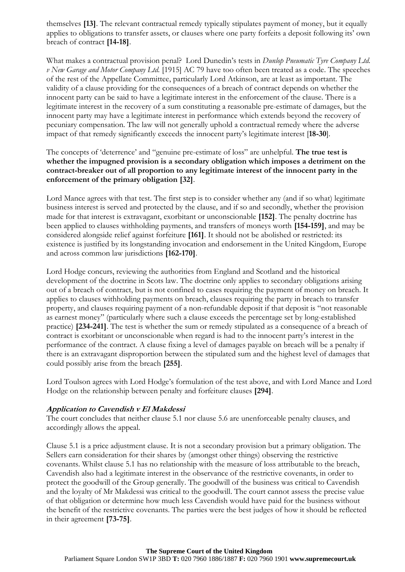themselves **[13]**. The relevant contractual remedy typically stipulates payment of money, but it equally applies to obligations to transfer assets, or clauses where one party forfeits a deposit following its' own breach of contract **[14-18]**.

What makes a contractual provision penal? Lord Dunedin's tests in *Dunlop Pneumatic Tyre Company Ltd. v New Garage and Motor Company Ltd.* [1915] AC 79 have too often been treated as a code. The speeches of the rest of the Appellate Committee, particularly Lord Atkinson, are at least as important. The validity of a clause providing for the consequences of a breach of contract depends on whether the innocent party can be said to have a legitimate interest in the enforcement of the clause. There is a legitimate interest in the recovery of a sum constituting a reasonable pre-estimate of damages, but the innocent party may have a legitimate interest in performance which extends beyond the recovery of pecuniary compensation. The law will not generally uphold a contractual remedy where the adverse impact of that remedy significantly exceeds the innocent party's legitimate interest [**18-30**].

The concepts of 'deterrence' and "genuine pre-estimate of loss" are unhelpful. **The true test is whether the impugned provision is a secondary obligation which imposes a detriment on the contract-breaker out of all proportion to any legitimate interest of the innocent party in the enforcement of the primary obligation [32]**.

Lord Mance agrees with that test. The first step is to consider whether any (and if so what) legitimate business interest is served and protected by the clause, and if so and secondly, whether the provision made for that interest is extravagant, exorbitant or unconscionable **[152]**. The penalty doctrine has been applied to clauses withholding payments, and transfers of moneys worth **[154-159]**, and may be considered alongside relief against forfeiture **[161]**. It should not be abolished or restricted: its existence is justified by its longstanding invocation and endorsement in the United Kingdom, Europe and across common law jurisdictions **[162-170]**.

Lord Hodge concurs, reviewing the authorities from England and Scotland and the historical development of the doctrine in Scots law. The doctrine only applies to secondary obligations arising out of a breach of contract, but is not confined to cases requiring the payment of money on breach. It applies to clauses withholding payments on breach, clauses requiring the party in breach to transfer property, and clauses requiring payment of a non-refundable deposit if that deposit is "not reasonable as earnest money" (particularly where such a clause exceeds the percentage set by long-established practice) **[234-241]**. The test is whether the sum or remedy stipulated as a consequence of a breach of contract is exorbitant or unconscionable when regard is had to the innocent party's interest in the performance of the contract. A clause fixing a level of damages payable on breach will be a penalty if there is an extravagant disproportion between the stipulated sum and the highest level of damages that could possibly arise from the breach **[255]**.

Lord Toulson agrees with Lord Hodge's formulation of the test above, and with Lord Mance and Lord Hodge on the relationship between penalty and forfeiture clauses **[294]**.

# **Application to Cavendish v El Makdessi**

The court concludes that neither clause 5.1 nor clause 5.6 are unenforceable penalty clauses, and accordingly allows the appeal.

Clause 5.1 is a price adjustment clause. It is not a secondary provision but a primary obligation. The Sellers earn consideration for their shares by (amongst other things) observing the restrictive covenants. Whilst clause 5.1 has no relationship with the measure of loss attributable to the breach, Cavendish also had a legitimate interest in the observance of the restrictive covenants, in order to protect the goodwill of the Group generally. The goodwill of the business was critical to Cavendish and the loyalty of Mr Makdessi was critical to the goodwill. The court cannot assess the precise value of that obligation or determine how much less Cavendish would have paid for the business without the benefit of the restrictive covenants. The parties were the best judges of how it should be reflected in their agreement **[73-75]**.